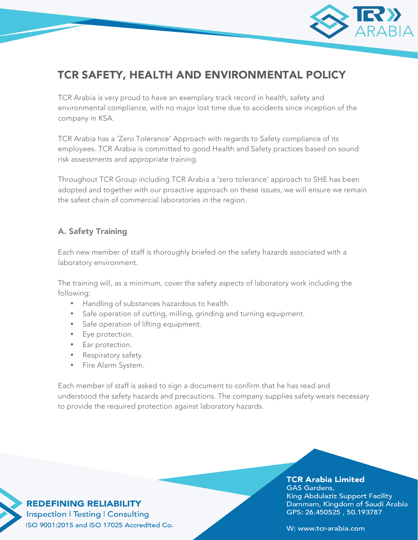

# TCR SAFETY, HEALTH AND ENVIRONMENTAL POLICY

TCR Arabia is very proud to have an exemplary track record in health, safety and environmental compliance, with no major lost time due to accidents since inception of the company in KSA.

TCR Arabia has a 'Zero Tolerance' Approach with regards to Safety compliance of its employees. TCR Arabia is committed to good Health and Safety practices based on sound risk assessments and appropriate training.

Throughout TCR Group including TCR Arabia a 'zero tolerance' approach to SHE has been adopted and together with our proactive approach on these issues, we will ensure we remain the safest chain of commercial laboratories in the region.

## A. Safety Training

Each new member of staff is thoroughly briefed on the safety hazards associated with a laboratory environment.

The training will, as a minimum, cover the safety aspects of laboratory work including the following:

- Handling of substances hazardous to health.
- Safe operation of cutting, milling, grinding and turning equipment.
- Safe operation of lifting equipment.
- Eye protection.
- Ear protection.
- Respiratory safety.
- Fire Alarm System.

Each member of staff is asked to sign a document to confirm that he has read and understood the safety hazards and precautions. The company supplies safety wears necessary to provide the required protection against laboratory hazards.

### **TCR Arabia Limited**

**GAS Gardens,** King Abdulaziz Support Facility Dammam, Kingdom of Saudi Arabia GPS: 26.450525, 50.193787

**REDEFINING RELIABILITY Inspection | Testing | Consulting** ISO 9001:2015 and ISO 17025 Accredited Co.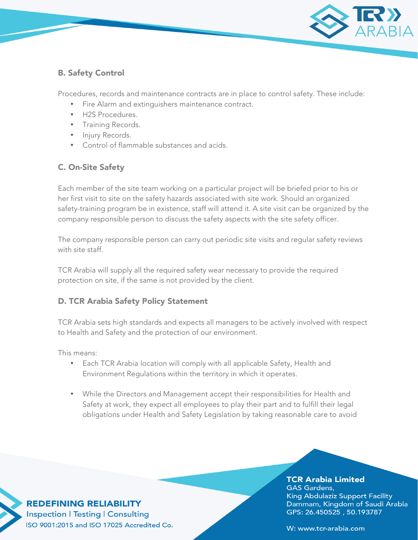

# B. Safety Control

Procedures, records and maintenance contracts are in place to control safety. These include:

- Fire Alarm and extinguishers maintenance contract.
- H2S Procedures.
- Training Records.
- Injury Records.
- Control of flammable substances and acids.

## C. On-Site Safety

Each member of the site team working on a particular project will be briefed prior to his or her first visit to site on the safety hazards associated with site work. Should an organized safety-training program be in existence, staff will attend it. A site visit can be organized by the company responsible person to discuss the safety aspects with the site safety officer.

The company responsible person can carry out periodic site visits and regular safety reviews with site staff.

TCR Arabia will supply all the required safety wear necessary to provide the required protection on site, if the same is not provided by the client.

## D. TCR Arabia Safety Policy Statement

TCR Arabia sets high standards and expects all managers to be actively involved with respect to Health and Safety and the protection of our environment.

This means:

- Each TCR Arabia location will comply with all applicable Safety, Health and Environment Regulations within the territory in which it operates.
- While the Directors and Management accept their responsibilities for Health and Safety at work, they expect all employees to play their part and to fulfill their legal obligations under Health and Safety Legislation by taking reasonable care to avoid

**TCR Arabia Limited GAS Gardens,** King Abdulaziz Support Facility Dammam, Kingdom of Saudi Arabia GPS: 26.450525, 50.193787

**REDEFINING RELIABILITY Inspection | Testing | Consulting** ISO 9001:2015 and ISO 17025 Accredited Co.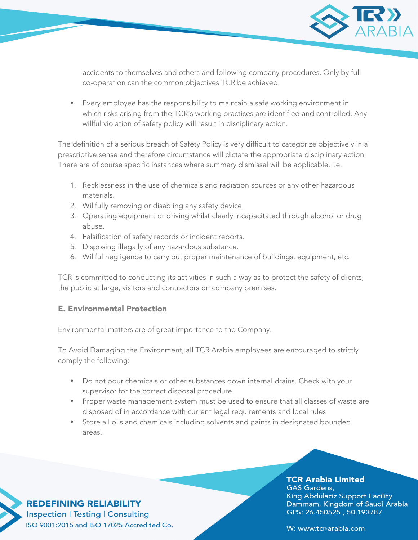

accidents to themselves and others and following company procedures. Only by full co-operation can the common objectives TCR be achieved.

• Every employee has the responsibility to maintain a safe working environment in which risks arising from the TCR's working practices are identified and controlled. Any willful violation of safety policy will result in disciplinary action.

The definition of a serious breach of Safety Policy is very difficult to categorize objectively in a prescriptive sense and therefore circumstance will dictate the appropriate disciplinary action. There are of course specific instances where summary dismissal will be applicable, i.e.

- 1. Recklessness in the use of chemicals and radiation sources or any other hazardous materials.
- 2. Willfully removing or disabling any safety device.
- 3. Operating equipment or driving whilst clearly incapacitated through alcohol or drug abuse.
- 4. Falsification of safety records or incident reports.
- 5. Disposing illegally of any hazardous substance.
- 6. Willful negligence to carry out proper maintenance of buildings, equipment, etc.

TCR is committed to conducting its activities in such a way as to protect the safety of clients, the public at large, visitors and contractors on company premises.

## E. Environmental Protection

Environmental matters are of great importance to the Company.

To Avoid Damaging the Environment, all TCR Arabia employees are encouraged to strictly comply the following:

- Do not pour chemicals or other substances down internal drains. Check with your supervisor for the correct disposal procedure.
- Proper waste management system must be used to ensure that all classes of waste are disposed of in accordance with current legal requirements and local rules
- Store all oils and chemicals including solvents and paints in designated bounded areas.

# **TCR Arabia Limited**

**GAS Gardens,** King Abdulaziz Support Facility Dammam, Kingdom of Saudi Arabia GPS: 26.450525, 50.193787

**REDEFINING RELIABILITY Inspection | Testing | Consulting** ISO 9001:2015 and ISO 17025 Accredited Co.